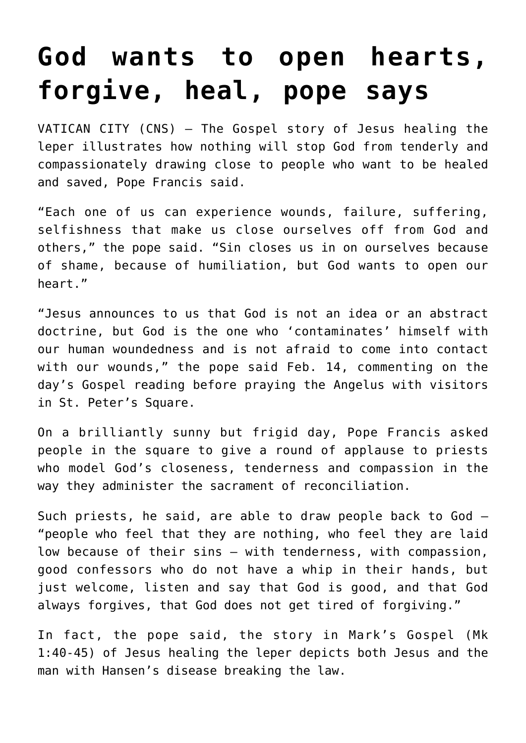## **[God wants to open hearts,](https://www.osvnews.com/2021/02/15/god-wants-to-open-hearts-forgive-heal-pope-says/) [forgive, heal, pope says](https://www.osvnews.com/2021/02/15/god-wants-to-open-hearts-forgive-heal-pope-says/)**

VATICAN CITY (CNS) — The Gospel story of Jesus healing the leper illustrates how nothing will stop God from tenderly and compassionately drawing close to people who want to be healed and saved, Pope Francis said.

"Each one of us can experience wounds, failure, suffering, selfishness that make us close ourselves off from God and others," the pope said. "Sin closes us in on ourselves because of shame, because of humiliation, but God wants to open our heart."

"Jesus announces to us that God is not an idea or an abstract doctrine, but God is the one who 'contaminates' himself with our human woundedness and is not afraid to come into contact with our wounds," the pope said Feb. 14, commenting on the day's Gospel reading before praying the Angelus with visitors in St. Peter's Square.

On a brilliantly sunny but frigid day, Pope Francis asked people in the square to give a round of applause to priests who model God's closeness, tenderness and compassion in the way they administer the sacrament of reconciliation.

Such priests, he said, are able to draw people back to God — "people who feel that they are nothing, who feel they are laid low because of their sins — with tenderness, with compassion, good confessors who do not have a whip in their hands, but just welcome, listen and say that God is good, and that God always forgives, that God does not get tired of forgiving."

In fact, the pope said, the story in Mark's Gospel (Mk 1:40-45) of Jesus healing the leper depicts both Jesus and the man with Hansen's disease breaking the law.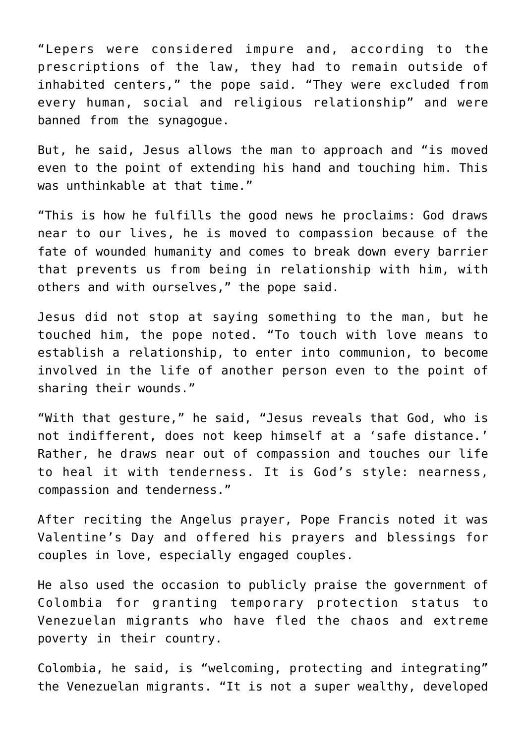"Lepers were considered impure and, according to the prescriptions of the law, they had to remain outside of inhabited centers," the pope said. "They were excluded from every human, social and religious relationship" and were banned from the synagogue.

But, he said, Jesus allows the man to approach and "is moved even to the point of extending his hand and touching him. This was unthinkable at that time."

"This is how he fulfills the good news he proclaims: God draws near to our lives, he is moved to compassion because of the fate of wounded humanity and comes to break down every barrier that prevents us from being in relationship with him, with others and with ourselves," the pope said.

Jesus did not stop at saying something to the man, but he touched him, the pope noted. "To touch with love means to establish a relationship, to enter into communion, to become involved in the life of another person even to the point of sharing their wounds."

"With that gesture," he said, "Jesus reveals that God, who is not indifferent, does not keep himself at a 'safe distance.' Rather, he draws near out of compassion and touches our life to heal it with tenderness. It is God's style: nearness, compassion and tenderness."

After reciting the Angelus prayer, Pope Francis noted it was Valentine's Day and offered his prayers and blessings for couples in love, especially engaged couples.

He also used the occasion to publicly praise the government of Colombia for granting temporary protection status to Venezuelan migrants who have fled the chaos and extreme poverty in their country.

Colombia, he said, is "welcoming, protecting and integrating" the Venezuelan migrants. "It is not a super wealthy, developed